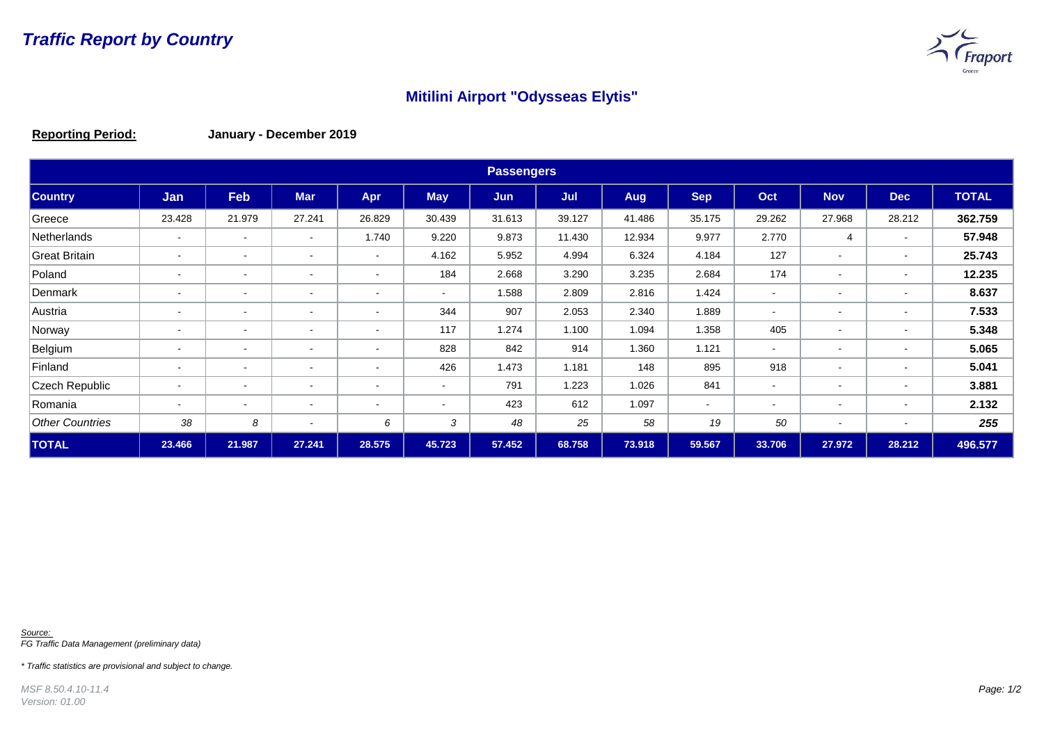

## **Mitilini Airport "Odysseas Elytis"**

**Reporting Period: January - December 2019**

| <b>Passengers</b>      |                          |                          |                          |                          |                |        |        |        |            |                          |                          |                          |              |
|------------------------|--------------------------|--------------------------|--------------------------|--------------------------|----------------|--------|--------|--------|------------|--------------------------|--------------------------|--------------------------|--------------|
| <b>Country</b>         | Jan                      | Feb                      | <b>Mar</b>               | Apr                      | <b>May</b>     | Jun    | Jul    | Aug    | <b>Sep</b> | Oct                      | <b>Nov</b>               | <b>Dec</b>               | <b>TOTAL</b> |
| Greece                 | 23.428                   | 21.979                   | 27.241                   | 26.829                   | 30.439         | 31.613 | 39.127 | 41.486 | 35.175     | 29.262                   | 27.968                   | 28.212                   | 362.759      |
| Netherlands            | $\overline{\phantom{a}}$ | $\overline{\phantom{a}}$ | $\overline{\phantom{a}}$ | 1.740                    | 9.220          | 9.873  | 11.430 | 12.934 | 9.977      | 2.770                    | 4                        | $\,$ $\,$                | 57.948       |
| <b>Great Britain</b>   | $\blacksquare$           | $\overline{\phantom{a}}$ | $\blacksquare$           | $\sim$                   | 4.162          | 5.952  | 4.994  | 6.324  | 4.184      | 127                      | $\sim$                   | $\sim$                   | 25.743       |
| Poland                 | $\overline{\phantom{a}}$ | $\overline{\phantom{a}}$ | <b>1</b>                 | $\blacksquare$           | 184            | 2.668  | 3.290  | 3.235  | 2.684      | 174                      |                          | $\,$ $\,$                | 12.235       |
| Denmark                | $\overline{\phantom{a}}$ | $\blacksquare$           | $\blacksquare$           | $\overline{\phantom{a}}$ | $\blacksquare$ | 1.588  | 2.809  | 2.816  | 1.424      | $\sim$                   |                          | $\sim$                   | 8.637        |
| Austria                | $\overline{\phantom{a}}$ | $\overline{\phantom{a}}$ | $\overline{\phantom{a}}$ | $\blacksquare$           | 344            | 907    | 2.053  | 2.340  | 1.889      | $\overline{\phantom{a}}$ |                          | $\,$ $\,$                | 7.533        |
| Norway                 | $\blacksquare$           | $\overline{\phantom{a}}$ | $\overline{\phantom{a}}$ | $\sim$                   | 117            | 1.274  | 1.100  | 1.094  | 1.358      | 405                      |                          | $\,$                     | 5.348        |
| Belgium                | $\overline{\phantom{a}}$ | $\overline{\phantom{a}}$ | $\overline{\phantom{a}}$ | $\overline{\phantom{a}}$ | 828            | 842    | 914    | 1.360  | 1.121      | $\sim$                   |                          | $\,$ $\,$                | 5.065        |
| Finland                | $\overline{\phantom{a}}$ | $\overline{\phantom{a}}$ | $\overline{\phantom{0}}$ | $\overline{\phantom{a}}$ | 426            | 1.473  | 1.181  | 148    | 895        | 918                      |                          | $\overline{\phantom{a}}$ | 5.041        |
| Czech Republic         | $\blacksquare$           | $\blacksquare$           | $\blacksquare$           | $\overline{\phantom{a}}$ | $\blacksquare$ | 791    | 1.223  | 1.026  | 841        | $\sim$                   | $\sim$                   | $\sim$                   | 3.881        |
| Romania                | $\blacksquare$           | $\blacksquare$           | $\blacksquare$           | $\overline{\phantom{a}}$ | $\blacksquare$ | 423    | 612    | 1.097  | $\sim$     | $\sim$                   | $\sim$                   | $\sim$                   | 2.132        |
| <b>Other Countries</b> | 38                       | 8                        | $\overline{\phantom{a}}$ | 6                        | 3              | 48     | 25     | 58     | 19         | 50                       | $\overline{\phantom{a}}$ | $\overline{\phantom{a}}$ | 255          |
| <b>TOTAL</b>           | 23.466                   | 21.987                   | 27.241                   | 28.575                   | 45.723         | 57.452 | 68.758 | 73.918 | 59.567     | 33.706                   | 27.972                   | 28.212                   | 496.577      |

*Source: FG Traffic Data Management (preliminary data)*

*\* Traffic statistics are provisional and subject to change.*